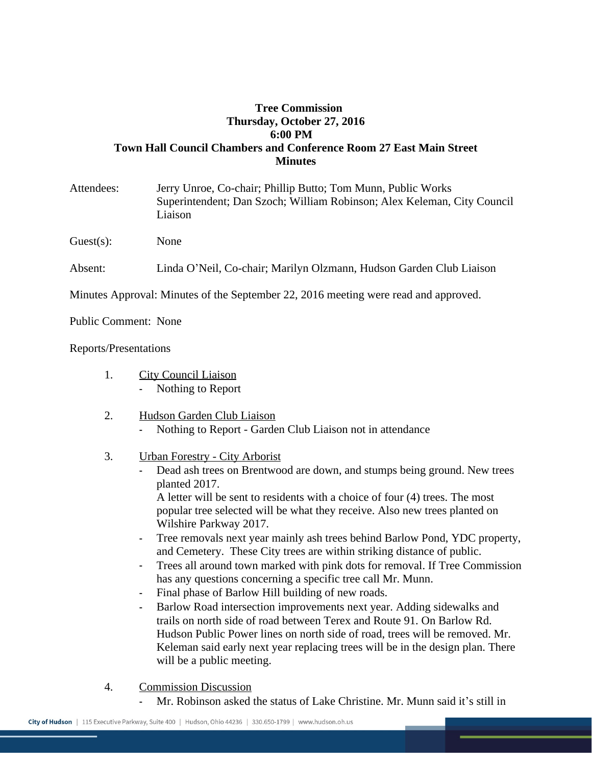## **Tree Commission Thursday, October 27, 2016 6:00 PM Town Hall Council Chambers and Conference Room 27 East Main Street Minutes**

Attendees: Jerry Unroe, Co-chair; Phillip Butto; Tom Munn, Public Works Superintendent; Dan Szoch; William Robinson; Alex Keleman, City Council Liaison

Guest(s): None

Absent: Linda O'Neil, Co-chair; Marilyn Olzmann, Hudson Garden Club Liaison

Minutes Approval: Minutes of the September 22, 2016 meeting were read and approved.

Public Comment: None

## Reports/Presentations

- 1. City Council Liaison Nothing to Report
- 2. Hudson Garden Club Liaison Nothing to Report - Garden Club Liaison not in attendance
- 3. Urban Forestry City Arborist
	- Dead ash trees on Brentwood are down, and stumps being ground. New trees planted 2017.

A letter will be sent to residents with a choice of four (4) trees. The most popular tree selected will be what they receive. Also new trees planted on Wilshire Parkway 2017.

- Tree removals next year mainly ash trees behind Barlow Pond, YDC property, and Cemetery. These City trees are within striking distance of public.
- Trees all around town marked with pink dots for removal. If Tree Commission has any questions concerning a specific tree call Mr. Munn.
- Final phase of Barlow Hill building of new roads.
- Barlow Road intersection improvements next year. Adding sidewalks and trails on north side of road between Terex and Route 91. On Barlow Rd. Hudson Public Power lines on north side of road, trees will be removed. Mr. Keleman said early next year replacing trees will be in the design plan. There will be a public meeting.
- 4. Commission Discussion
	- Mr. Robinson asked the status of Lake Christine. Mr. Munn said it's still in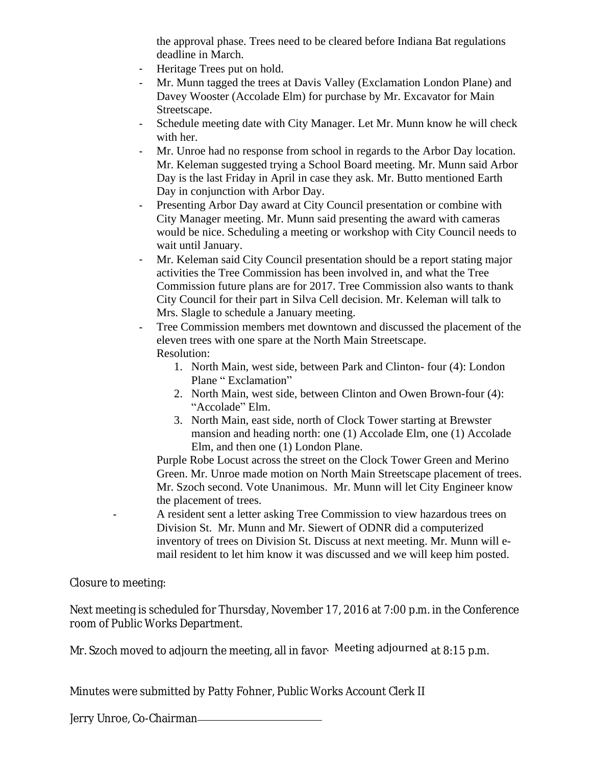the approval phase. Trees need to be cleared before Indiana Bat regulations deadline in March.

- Heritage Trees put on hold.
- Mr. Munn tagged the trees at Davis Valley (Exclamation London Plane) and Davey Wooster (Accolade Elm) for purchase by Mr. Excavator for Main Streetscape.
- Schedule meeting date with City Manager. Let Mr. Munn know he will check with her.
- Mr. Unroe had no response from school in regards to the Arbor Day location. Mr. Keleman suggested trying a School Board meeting. Mr. Munn said Arbor Day is the last Friday in April in case they ask. Mr. Butto mentioned Earth Day in conjunction with Arbor Day.
- Presenting Arbor Day award at City Council presentation or combine with City Manager meeting. Mr. Munn said presenting the award with cameras would be nice. Scheduling a meeting or workshop with City Council needs to wait until January.
- Mr. Keleman said City Council presentation should be a report stating major activities the Tree Commission has been involved in, and what the Tree Commission future plans are for 2017. Tree Commission also wants to thank City Council for their part in Silva Cell decision. Mr. Keleman will talk to Mrs. Slagle to schedule a January meeting.
- Tree Commission members met downtown and discussed the placement of the eleven trees with one spare at the North Main Streetscape. Resolution:
	- 1. North Main, west side, between Park and Clinton- four (4): London Plane " Exclamation"
	- 2. North Main, west side, between Clinton and Owen Brown-four (4): "Accolade" Elm.
	- 3. North Main, east side, north of Clock Tower starting at Brewster mansion and heading north: one (1) Accolade Elm, one (1) Accolade Elm, and then one (1) London Plane.

Purple Robe Locust across the street on the Clock Tower Green and Merino Green. Mr. Unroe made motion on North Main Streetscape placement of trees. Mr. Szoch second. Vote Unanimous. Mr. Munn will let City Engineer know the placement of trees.

A resident sent a letter asking Tree Commission to view hazardous trees on Division St. Mr. Munn and Mr. Siewert of ODNR did a computerized inventory of trees on Division St. Discuss at next meeting. Mr. Munn will email resident to let him know it was discussed and we will keep him posted.

Closure to meeting:

Next meeting is scheduled for Thursday, November 17, 2016 at 7:00 p.m. in the Conference room of Public Works Department.

Mr. Szoch moved to adjourn the meeting, all in favor. Meeting adjourned at 8:15 p.m.

Minutes were submitted by Patty Fohner, Public Works Account Clerk II

Jerry Unroe, Co-Chairman\_\_\_\_\_\_\_\_\_\_\_\_\_\_\_\_\_\_\_\_\_\_\_\_\_\_\_\_\_